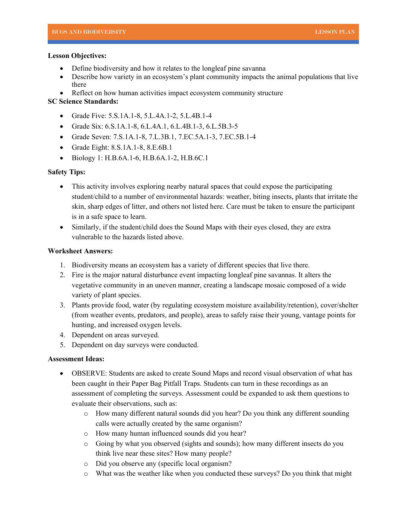#### **Lesson Objectives:**

- Define biodiversity and how it relates to the longleaf pine savanna
- Describe how variety in an ecosystem's plant community impacts the animal populations that live there
- Reflect on how human activities impact ecosystem community structure

# **SC Science Standards:**

- Grade Five: 5.S.1A.1-8, 5.L.4A.1-2, 5.L.4B.1-4
- Grade Six: 6.S.1A.1-8, 6.L.4A.1, 6.L.4B.1-3, 6.L.5B.3-5
- Grade Seven: 7.S.1A.1-8, 7.L.3B.1, 7.EC.5A.1-3, 7.EC.5B.1-4
- Grade Eight: 8.S.1A.1-8, 8.E.6B.1
- Biology 1: H.B.6A.1-6, H.B.6A.1-2, H.B.6C.1

## **Safety Tips:**

- This activity involves exploring nearby natural spaces that could expose the participating student/child to a number of environmental hazards: weather, biting insects, plants that irritate the skin, sharp edges of litter, and others not listed here. Care must be taken to ensure the participant is in a safe space to learn.
- Similarly, if the student/child does the Sound Maps with their eyes closed, they are extra vulnerable to the hazards listed above.

#### **Worksheet Answers:**

- 1. Biodiversity means an ecosystem has a variety of different species that live there.
- 2. Fire is the major natural disturbance event impacting longleaf pine savannas. It alters the vegetative community in an uneven manner, creating a landscape mosaic composed of a wide variety of plant species.
- 3. Plants provide food, water (by regulating ecosystem moisture availability/retention), cover/shelter (from weather events, predators, and people), areas to safely raise their young, vantage points for hunting, and increased oxygen levels.
- 4. Dependent on areas surveyed.
- 5. Dependent on day surveys were conducted.

## **Assessment Ideas:**

- OBSERVE: Students are asked to create Sound Maps and record visual observation of what has been caught in their Paper Bag Pitfall Traps. Students can turn in these recordings as an assessment of completing the surveys. Assessment could be expanded to ask them questions to evaluate their observations, such as:
	- o How many different natural sounds did you hear? Do you think any different sounding calls were actually created by the same organism?
	- o How many human influenced sounds did you hear?
	- o Going by what you observed (sights and sounds); how many different insects do you think live near these sites? How many people?
	- o Did you observe any (specific local organism?
	- o What was the weather like when you conducted these surveys? Do you think that might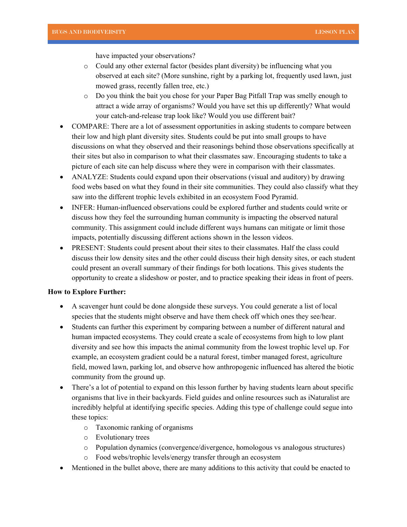have impacted your observations?

- o Could any other external factor (besides plant diversity) be influencing what you observed at each site? (More sunshine, right by a parking lot, frequently used lawn, just mowed grass, recently fallen tree, etc.)
- o Do you think the bait you chose for your Paper Bag Pitfall Trap was smelly enough to attract a wide array of organisms? Would you have set this up differently? What would your catch-and-release trap look like? Would you use different bait?
- COMPARE: There are a lot of assessment opportunities in asking students to compare between their low and high plant diversity sites. Students could be put into small groups to have discussions on what they observed and their reasonings behind those observations specifically at their sites but also in comparison to what their classmates saw. Encouraging students to take a picture of each site can help discuss where they were in comparison with their classmates.
- ANALYZE: Students could expand upon their observations (visual and auditory) by drawing food webs based on what they found in their site communities. They could also classify what they saw into the different trophic levels exhibited in an ecosystem Food Pyramid.
- INFER: Human-influenced observations could be explored further and students could write or discuss how they feel the surrounding human community is impacting the observed natural community. This assignment could include different ways humans can mitigate or limit those impacts, potentially discussing different actions shown in the lesson videos.
- PRESENT: Students could present about their sites to their classmates. Half the class could discuss their low density sites and the other could discuss their high density sites, or each student could present an overall summary of their findings for both locations. This gives students the opportunity to create a slideshow or poster, and to practice speaking their ideas in front of peers.

#### **How to Explore Further:**

- A scavenger hunt could be done alongside these surveys. You could generate a list of local species that the students might observe and have them check off which ones they see/hear.
- Students can further this experiment by comparing between a number of different natural and human impacted ecosystems. They could create a scale of ecosystems from high to low plant diversity and see how this impacts the animal community from the lowest trophic level up. For example, an ecosystem gradient could be a natural forest, timber managed forest, agriculture field, mowed lawn, parking lot, and observe how anthropogenic influenced has altered the biotic community from the ground up.
- There's a lot of potential to expand on this lesson further by having students learn about specific organisms that live in their backyards. Field guides and online resources such as iNaturalist are incredibly helpful at identifying specific species. Adding this type of challenge could segue into these topics:
	- o Taxonomic ranking of organisms
	- o Evolutionary trees
	- o Population dynamics (convergence/divergence, homologous vs analogous structures)
	- o Food webs/trophic levels/energy transfer through an ecosystem
- Mentioned in the bullet above, there are many additions to this activity that could be enacted to